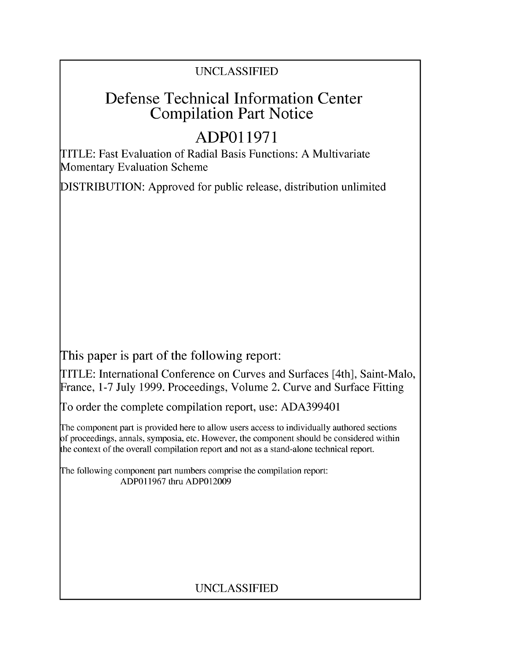### UNCLASSIFIED

# Defense Technical Information Center Compilation Part Notice

# **ADPO 11971**

TITLE: Fast Evaluation of Radial Basis Functions: A Multivariate Momentary Evaluation Scheme

DISTRIBUTION: Approved for public release, distribution unlimited

This paper is part of the following report:

TITLE: International Conference on Curves and Surfaces [4th], Saint-Malo, France, 1-7 July 1999. Proceedings, Volume 2. Curve and Surface Fitting

To order the complete compilation report, use: ADA399401

The component part is provided here to allow users access to individually authored sections f proceedings, annals, symposia, etc. However, the component should be considered within [he context of the overall compilation report and not as a stand-alone technical report.

The following component part numbers comprise the compilation report: ADP011967 thru ADPO12009

### UNCLASSIFIED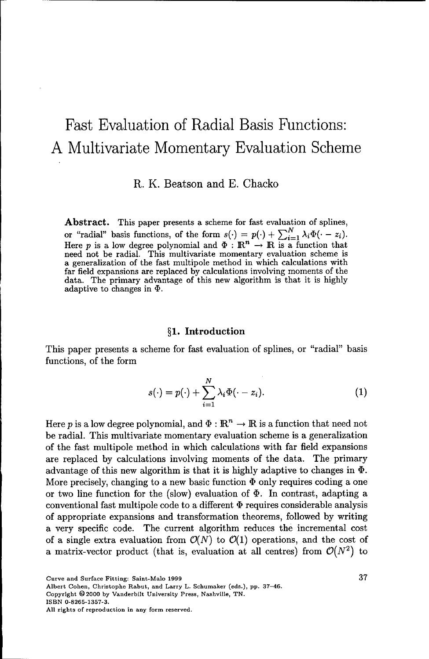## Fast Evaluation of Radial Basis Functions: A Multivariate Momentary Evaluation Scheme

R. K. Beatson and E. Chacko

Abstract. This paper presents a scheme for fast evaluation of splines, or "radial" basis functions, of the form  $s(\cdot) = p(\cdot) + \sum_{i=1}^{N} \lambda_i \Phi(\cdot - z_i)$ .<br>Here p is a low degree polynomial and  $\Phi : \mathbb{R}^n \to \mathbb{R}$  is a function that need not be radial. This multivariate momentary evaluation scheme is a generalization of the fast multipole method in which calculations with far field expansions are replaced by calculations involving moments of the data. The primary advantage of this new algorithm is that it is highly adaptive to changes in *\$).*

#### §1. Introduction

This paper presents a scheme for fast evaluation of splines, or "radial" basis functions, of the form

$$
s(\cdot) = p(\cdot) + \sum_{i=1}^{N} \lambda_i \Phi(\cdot - z_i). \tag{1}
$$

Here p is a low degree polynomial, and  $\Phi : \mathbb{R}^n \to \mathbb{R}$  is a function that need not be radial. This multivariate momentary evaluation scheme is a generalization of the fast multipole method in which calculations with far field expansions are replaced by calculations involving moments of the data. The primary advantage of this new algorithm is that it is highly adaptive to changes in **D.** More precisely, changing to a new basic function  $\Phi$  only requires coding a one or two line function for the (slow) evaluation of  $\Phi$ . In contrast, adapting a conventional fast multipole code to a different  $\Phi$  requires considerable analysis of appropriate expansions and transformation theorems, followed by writing a very specific code. The current algorithm reduces the incremental cost of a single extra evaluation from  $\mathcal{O}(N)$  to  $\mathcal{O}(1)$  operations, and the cost of a matrix-vector product (that is, evaluation at all centres) from  $\mathcal{O}(N^2)$  to

Curve and Surface Fitting: Saint-Malo 1999 37

Albert Cohen, Christophe Rabut, and Larry L. Schumaker (eds.), pp. 37-46.

Copyright **0** 2000 by Vanderbilt University Press, Nashville, TN.

ISBN 0-8265-1357-3.

All rights of reproduction in any form reserved.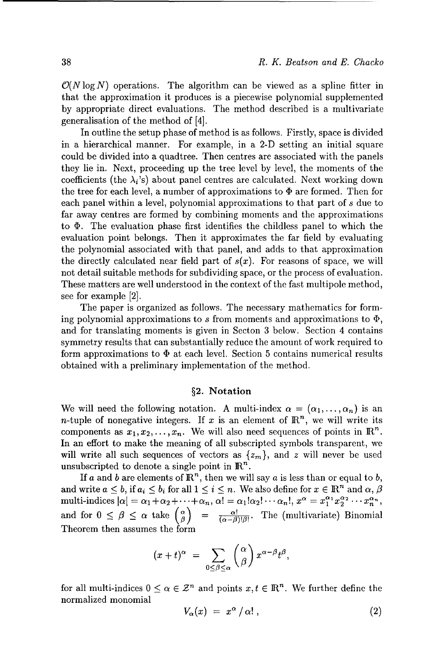$\mathcal{O}(N \log N)$  operations. The algorithm can be viewed as a spline fitter in that the approximation it produces is a piecewise polynomial supplemented by appropriate direct evaluations. The method described is a multivariate generalisation of the method of [4].

In outline the setup phase of method is as follows. Firstly, space is divided in a hierarchical manner. For example, in a 2-D setting an initial square could be divided into a quadtree. Then centres are associated with the panels they lie in. Next, proceeding up the tree level by level, the moments of the coefficients (the  $\lambda_i$ 's) about panel centres are calculated. Next working down the tree for each level, a number of approximations to  $\Phi$  are formed. Then for each panel within a level, polynomial approximations to that part of *s* due to far away centres are formed by combining moments and the approximations to  $\Phi$ . The evaluation phase first identifies the childless panel to which the evaluation point belongs. Then it approximates the far field by evaluating the polynomial associated with that panel, and adds to that approximation the directly calculated near field part of  $s(x)$ . For reasons of space, we will not detail suitable methods for subdividing space, or the process of evaluation. These matters are well understood in the context of the fast multipole method, see for example [2].

The paper is organized as follows. The necessary mathematics for forming polynomial approximations to s from moments and approximations to  $\Phi$ , and for translating moments is given in Secton 3 below. Section 4 contains symmetry results that can substantially reduce the amount of work required to form approximations to  $\Phi$  at each level. Section 5 contains numerical results obtained with a preliminary implementation of the method.

#### §2. Notation

We will need the following notation. A multi-index  $\alpha = (\alpha_1, \ldots, \alpha_n)$  is an *n*-tuple of nonegative integers. If x is an element of  $\mathbb{R}^n$ , we will write its components as  $x_1, x_2, \ldots, x_n$ . We will also need sequences of points in  $\mathbb{R}^n$ . In an effort to make the meaning of all subscripted symbols transparent, we will write all such sequences of vectors as  $\{z_m\}$ , and z will never be used unsubscripted to denote a single point in  $\mathbb{R}^n$ .

If a and b are elements of  $\mathbb{R}^n$ , then we will say a is less than or equal to b, and write  $a \leq b$ , if  $a_i \leq b_i$  for all  $1 \leq i \leq n$ . We also define for  $x \in \mathbb{R}^n$  and  $\alpha, \beta$ multi-indices  $|\alpha| = \alpha_1 + \alpha_2 + \cdots + \alpha_n$ ,  $\alpha! = \alpha_1! \alpha_2! \cdots \alpha_n!$ ,  $x^{\alpha} = x_1^{\alpha_1} x_2^{\alpha_2} \cdots x_n^{\alpha_n}$ , and for  $0 \le \beta \le \alpha$  take  $\begin{pmatrix} \alpha \\ \beta \end{pmatrix} = \frac{\alpha!}{(\alpha-\beta)!\beta!}$ . The (multivariate) Binomial Theorem then assumes the form

$$
(x+t)^{\alpha} = \sum_{0 \leq \beta \leq \alpha} {\alpha \choose \beta} x^{\alpha-\beta} t^{\beta},
$$

for all multi-indices  $0 \leq \alpha \in \mathbb{Z}^n$  and points  $x, t \in \mathbb{R}^n$ . We further define the normalized monomial

$$
V_{\alpha}(x) = x^{\alpha}/\alpha!, \qquad (2)
$$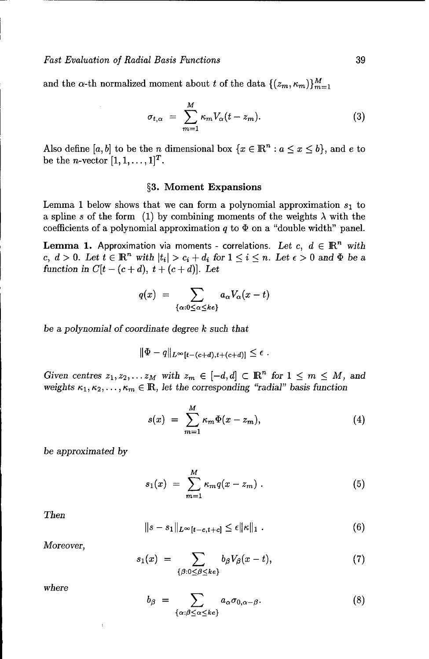and the  $\alpha$ -th normalized moment about t of the data  $\{(z_m, \kappa_m)\}_{m=1}^M$ 

$$
\sigma_{t,\alpha} = \sum_{m=1}^{M} \kappa_m V_{\alpha}(t-z_m). \tag{3}
$$

Also define [a, b] to be the n dimensional box  $\{x \in \mathbb{R}^n : a \leq x \leq b\}$ , and e to be the *n*-vector  $[1,1,\ldots,1]^T$ .

#### §3. Moment Expansions

Lemma 1 below shows that we can form a polynomial approximation  $s_1$  to a spline *s* of the form (1) by combining moments of the weights  $\lambda$  with the coefficients of a polynomial approximation  $q$  to  $\Phi$  on a "double width" panel.

**Lemma 1.** Approximation via moments - correlations. Let  $c, d \in \mathbb{R}^n$  with *c, d > 0.* Let  $t \in \mathbb{R}^n$  with  $|t_i| > c_i + d_i$  for  $1 \leq i \leq n$ . Let  $\epsilon > 0$  and  $\Phi$  be a *function in*  $C[t - (c + d), t + (c + d)].$  Let

$$
q(x) = \sum_{\{\alpha: 0 \leq \alpha \leq k\epsilon\}} a_{\alpha} V_{\alpha}(x-t)
$$

be a *polynomial of coordinate degree k such* that

$$
\|\Phi-q\|_{L^{\infty}[t-(c+d),t+(c+d)]}\leq\epsilon.
$$

*Given centres*  $z_1, z_2, \ldots z_M$  with  $z_m \in [-d, d] \subset \mathbb{R}^n$  for  $1 \leq m \leq M$ , and *weights*  $\kappa_1, \kappa_2, \ldots, \kappa_m \in \mathbb{R}$ , let the corresponding "radial" basis function

$$
s(x) = \sum_{m=1}^{M} \kappa_m \Phi(x - z_m), \qquad (4)
$$

be *approximated by*

$$
s_1(x) = \sum_{m=1}^{M} \kappa_m q(x - z_m) \,. \tag{5}
$$

*Then*

$$
||s - s_1||_{L^{\infty}[t - c, t + c]} \leq \epsilon ||\kappa||_1 . \qquad (6)
$$

*Moreover,*

$$
s_1(x) = \sum_{\{\beta: 0 \leq \beta \leq ke\}} b_{\beta} V_{\beta}(x - t), \tag{7}
$$

*where*

$$
b_{\beta} = \sum_{\{\alpha:\beta \leq \alpha \leq ke\}} a_{\alpha} \sigma_{0,\alpha-\beta}.
$$
 (8)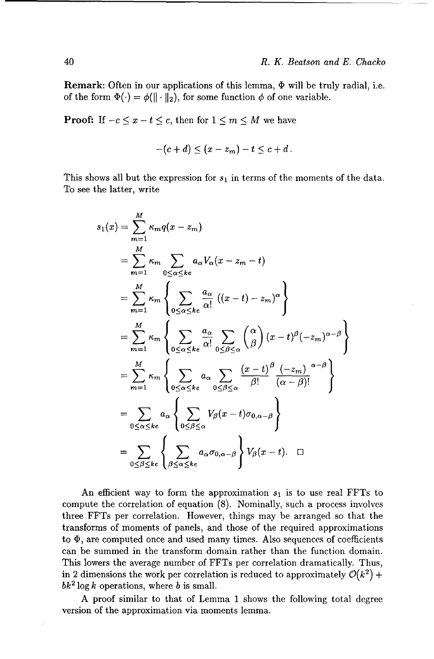**Remark:** Often in our applications of this lemma,  $\Phi$  will be truly radial, i.e. of the form  $\Phi(\cdot) = \phi(||\cdot||_2)$ , for some function  $\phi$  of one variable.

**Proof:** If  $-c \leq x - t \leq c$ , then for  $1 \leq m \leq M$  we have

$$
-(c+d)\leq (x-z_m)-t\leq c+d.
$$

This shows all but the expression for *S,* in terms of the moments of the data. To see the latter, write

$$
s_1(x) = \sum_{m=1}^{M} \kappa_m q(x - z_m)
$$
  
\n
$$
= \sum_{m=1}^{M} \kappa_m \sum_{0 \le \alpha \le ke} a_{\alpha} V_{\alpha} (x - z_m - t)
$$
  
\n
$$
= \sum_{m=1}^{M} \kappa_m \left\{ \sum_{0 \le \alpha \le ke} \frac{a_{\alpha}}{\alpha!} ((x - t) - z_m)^{\alpha} \right\}
$$
  
\n
$$
= \sum_{m=1}^{M} \kappa_m \left\{ \sum_{0 \le \alpha \le ke} \frac{a_{\alpha}}{\alpha!} \sum_{0 \le \beta \le \alpha} {\alpha \choose \beta} (x - t)^{\beta} (-z_m)^{\alpha - \beta} \right\}
$$
  
\n
$$
= \sum_{m=1}^{M} \kappa_m \left\{ \sum_{0 \le \alpha \le ke} a_{\alpha} \sum_{0 \le \beta \le \alpha} \frac{(x - t)^{\beta} (-z_m)^{\alpha - \beta}}{\beta!} \right\}
$$
  
\n
$$
= \sum_{0 \le \alpha \le ke} a_{\alpha} \left\{ \sum_{0 \le \beta \le \alpha} V_{\beta} (x - t) \sigma_{0, \alpha - \beta} \right\}
$$
  
\n
$$
= \sum_{0 \le \beta \le ke} \left\{ \sum_{\beta \le \alpha \le ke} a_{\alpha} \sigma_{0, \alpha - \beta} \right\} V_{\beta} (x - t).
$$

An efficient way to form the approximation  $s<sub>1</sub>$  is to use real FFTs to compute the correlation of equation (8). Nominally, such a process involves three FFTs per correlation. However, things may be arranged so that the transforms of moments of panels, and those of the required approximations to  $\Phi$ , are computed once and used many times. Also sequences of coefficients can be summed in the transform domain rather than the function domain. This lowers the average number of FFTs per correlation dramatically. Thus, in 2 dimensions the work per correlation is reduced to approximately  $\mathcal{O}(k^2)$  +  $bk^2 \log k$  operations, where b is small.

A proof similar to that of Lemma 1 shows the following total degree version of the approximation via moments lemma.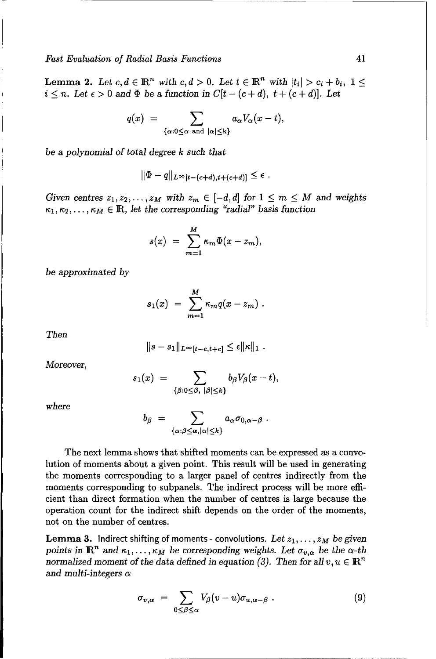*Fast Evaluation of Radial Basis* Functions 41

**Lemma 2.** Let  $c, d \in \mathbb{R}^n$  with  $c, d > 0$ . Let  $t \in \mathbb{R}^n$  with  $|t_i| > c_i + b_i$ ,  $1 \leq$  $i \leq n$ . Let  $\epsilon > 0$  and  $\Phi$  be a function in  $C[t-(c+d), t+(c+d)]$ . Let

$$
q(x) = \sum_{\{\alpha: 0 \leq \alpha \text{ and } |\alpha| \leq k\}} a_{\alpha} V_{\alpha}(x - t),
$$

be a *polynomial of total degree k such* that

$$
\|\Phi-q\|_{L^\infty[t-(c+d),t+(c+d)]}\leq \epsilon
$$

*Given centres*  $z_1, z_2, \ldots, z_M$  with  $z_m \in [-d, d]$  for  $1 \leq m \leq M$  and weights  $\kappa_1, \kappa_2, \ldots, \kappa_M \in \mathbb{R}$ , let the corresponding "radial" basis function

$$
s(x) = \sum_{m=1}^{M} \kappa_m \Phi(x - z_m),
$$

be approximated *by*

$$
s_1(x) = \sum_{m=1}^M \kappa_m q(x-z_m) .
$$

*Then*

$$
||s-s_1||_{L^{\infty}[t-c,t+c]} \leq \epsilon ||\kappa||_1.
$$

*Moreover,*

$$
s_1(x) = \sum_{\{\beta: 0 \leq \beta, \ |\beta| \leq k\}} b_{\beta} V_{\beta}(x-t),
$$

*where*

$$
b_{\beta} = \sum_{\{\alpha:\beta\leq \alpha, |\alpha|\leq k\}} a_{\alpha} \sigma_{0,\alpha-\beta} .
$$

The next lemma shows that shifted moments can be expressed as a convolution of moments about a given point. This result will be used in generating the moments corresponding to a larger panel of centres indirectly from the moments corresponding to subpanels. The indirect process will be more efficient than direct formation when the number of centres is large because the operation count for the indirect shift depends on the order of the moments, not on the number of centres.

Lemma 3. Indirect shifting of moments - convolutions. Let *zj,..., ZM be given* points in  $\mathbb{R}^n$  and  $\kappa_1, \ldots, \kappa_M$  be corresponding weights. Let  $\sigma_{v,\alpha}$  be the  $\alpha$ -th normalized moment of the data defined in equation (3). Then for all  $v, u \in \mathbb{R}^n$ *and multi-integers a*

$$
\sigma_{v,\alpha} = \sum_{0 \leq \beta \leq \alpha} V_{\beta}(v-u)\sigma_{u,\alpha-\beta} . \qquad (9)
$$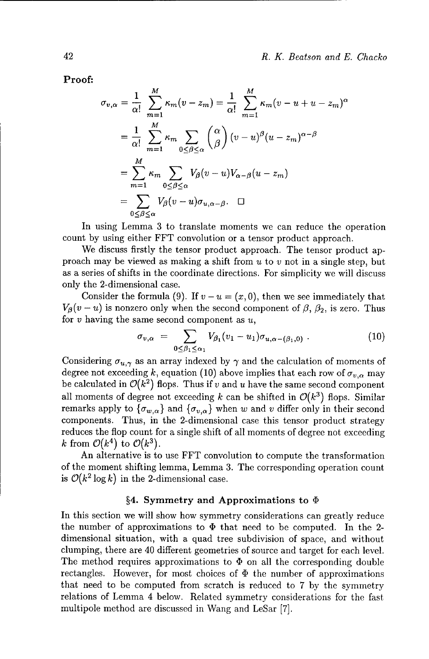Proof:

$$
\sigma_{v,\alpha} = \frac{1}{\alpha!} \sum_{m=1}^{M} \kappa_m (v - z_m) = \frac{1}{\alpha!} \sum_{m=1}^{M} \kappa_m (v - u + u - z_m)^{\alpha}
$$

$$
= \frac{1}{\alpha!} \sum_{m=1}^{M} \kappa_m \sum_{0 \le \beta \le \alpha} {\alpha \choose \beta} (v - u)^{\beta} (u - z_m)^{\alpha - \beta}
$$

$$
= \sum_{m=1}^{M} \kappa_m \sum_{0 \le \beta \le \alpha} V_{\beta} (v - u) V_{\alpha - \beta} (u - z_m)
$$

$$
= \sum_{0 \le \beta \le \alpha} V_{\beta} (v - u) \sigma_{u,\alpha - \beta}. \quad \Box
$$

In using Lemma 3 to translate moments we can reduce the operation count by using either FFT convolution or a tensor product approach.

We discuss firstly the tensor product approach. The tensor product approach may be viewed as making a shift from  $u$  to  $v$  not in a single step, but as a series of shifts in the coordinate directions. For simplicity we will discuss only the 2-dimensional case.

Consider the formula (9). If  $v - u = (x, 0)$ , then we see immediately that  $V_{\beta}(v-u)$  is nonzero only when the second component of  $\beta$ ,  $\beta_2$ , is zero. Thus for  $v$  having the same second component as  $u$ ,

$$
\sigma_{v,\alpha} = \sum_{0 \leq \beta_1 \leq \alpha_1} V_{\beta_1}(v_1 - u_1) \sigma_{u,\alpha - (\beta_1,0)} \ . \tag{10}
$$

Considering  $\sigma_{u,\gamma}$  as an array indexed by  $\gamma$  and the calculation of moments of degree not exceeding k, equation (10) above implies that each row of  $\sigma_{v,\alpha}$  may be calculated in  $\mathcal{O}(k^2)$  flops. Thus if v and u have the same second component all moments of degree not exceeding k can be shifted in  $\mathcal{O}(k^3)$  flops. Similar remarks apply to  $\{\sigma_{w,\alpha}\}\$  and  $\{\sigma_{v,\alpha}\}\$  when w and v differ only in their second components. Thus, in the 2-dimensional case this tensor product strategy reduces the flop count for a single shift of all moments of degree not exceeding k from  $\mathcal{O}(k^4)$  to  $\mathcal{O}(k^3)$ .

An alternative is to use FFT convolution to compute the transformation of the moment shifting lemma, Lemma 3. The corresponding operation count is  $\mathcal{O}(k^2 \log k)$  in the 2-dimensional case.

#### §4. Symmetry and Approximations to  $\Phi$

In this section we will show how symmetry considerations can greatly reduce the number of approximations to  $\Phi$  that need to be computed. In the 2dimensional situation, with a quad tree subdivision of space, and without clumping, there are 40 different geometries of source and target for each level. The method requires approximations to  $\Phi$  on all the corresponding double rectangles. However, for most choices of  $\Phi$  the number of approximations that need to be computed from scratch is reduced to 7 by the symmetry relations of Lemma 4 below. Related symmetry considerations for the fast multipole method are discussed in Wang and LeSar [7].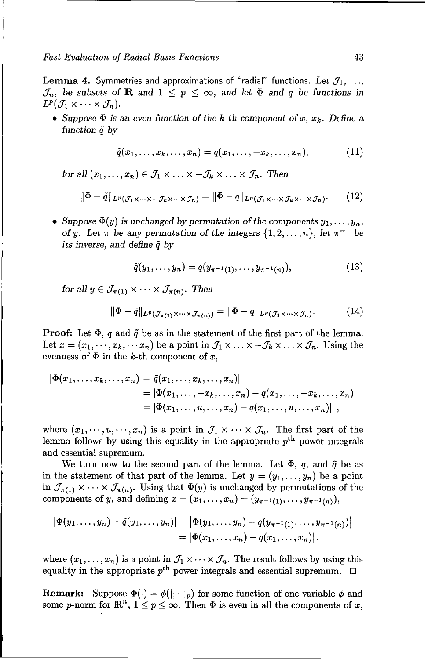*Fast Evaluation of Radial Basis Functions* 43

**Lemma 4.** Symmetries and approximations of "radial" functions. Let  $\mathcal{J}_1, \ldots,$  $\mathcal{J}_n$ , be subsets of **R** and  $1 \leq p \leq \infty$ , and let  $\Phi$  and *q* be functions in  $L^p(\mathcal{J}_1 \times \cdots \times \mathcal{J}_n).$ 

• Suppose  $\Phi$  is an even function of the *k*-th component of x,  $x_k$ . Define a *function* **4** *by*

$$
\tilde{q}(x_1,\ldots,x_k,\ldots,x_n)=q(x_1,\ldots,-x_k,\ldots,x_n),\qquad\qquad(11)
$$

*for all*  $(x_1, \ldots, x_n) \in \mathcal{J}_1 \times \ldots \times \mathcal{J}_k \times \ldots \times \mathcal{J}_n$ . *Then* 

$$
\|\Phi - \tilde{q}\|_{L^p(\mathcal{J}_1 \times \cdots \times -\mathcal{J}_k \times \cdots \times \mathcal{J}_n)} = \|\Phi - q\|_{L^p(\mathcal{J}_1 \times \cdots \times \mathcal{J}_k \times \cdots \times \mathcal{J}_n)}.\tag{12}
$$

• Suppose  $\Phi(y)$  is unchanged by permutation of the components  $y_1, \ldots, y_n$ , *of y.* Let  $\pi$  be any permutation of the integers  $\{1, 2, ..., n\}$ , let  $\pi^{-1}$  be *its inverse, and* define **4** *by*

$$
\tilde{q}(y_1,\ldots,y_n)=q(y_{\pi^{-1}(1)},\ldots,y_{\pi^{-1}(n)}),\qquad(13)
$$

*for all*  $y \in \mathcal{J}_{\pi(1)} \times \cdots \times \mathcal{J}_{\pi(n)}$ *. Then* 

$$
\|\Phi - \tilde{q}\|_{L^p(\mathcal{J}_{\pi(1)}\times\cdots\times\mathcal{J}_{\pi(n)})} = \|\Phi - q\|_{L^p(\mathcal{J}_1\times\cdots\times\mathcal{J}_n)}.\tag{14}
$$

**Proof.** Let  $\Phi$ , q and  $\tilde{q}$  be as in the statement of the first part of the lemma. Let  $x = (x_1, \dots, x_k, \dots, x_n)$  be a point in  $\mathcal{J}_1 \times \dots \times \mathcal{J}_k \times \dots \times \mathcal{J}_n$ . Using the evenness of  $\Phi$  in the k-th component of x,

$$
|\Phi(x_1,...,x_k,...,x_n) - \tilde{q}(x_1,...,x_k,...,x_n)|
$$
  
=  $|\Phi(x_1,...,-x_k,...,x_n) - q(x_1,...,-x_k,...,x_n)|$   
=  $|\Phi(x_1,...,u,...,x_n) - q(x_1,...,u,...,x_n)|$ ,

where  $(x_1,\dots,x_n)$  is a point in  $\mathcal{J}_1 \times \cdots \times \mathcal{J}_n$ . The first part of the lemma follows by using this equality in the appropriate  $p<sup>th</sup>$  power integrals and essential supremum.

We turn now to the second part of the lemma. Let  $\Phi$ , q, and  $\tilde{q}$  be as in the statement of that part of the lemma. Let  $y = (y_1, \ldots, y_n)$  be a point in  $\mathcal{J}_{\pi(1)} \times \cdots \times \mathcal{J}_{\pi(n)}$ . Using that  $\Phi(y)$  is unchanged by permutations of the components of y, and defining  $x = (x_1, ..., x_n) = (y_{\pi^{-1}(1)}, ..., y_{\pi^{-1}(n)}),$ 

$$
|\Phi(y_1,\ldots,y_n)-\tilde{q}(y_1,\ldots,y_n)|=|\Phi(y_1,\ldots,y_n)-q(y_{\pi^{-1}(1)},\ldots,y_{\pi^{-1}(n)})|=[\Phi(x_1,\ldots,x_n)-q(x_1,\ldots,x_n)],
$$

where  $(x_1, \ldots, x_n)$  is a point in  $\mathcal{J}_1 \times \cdots \times \mathcal{J}_n$ . The result follows by using this equality in the appropriate  $p^{\text{th}}$  power integrals and essential supremum.  $\Box$ 

**Remark:** Suppose  $\Phi(\cdot) = \phi(||\cdot||_p)$  for some function of one variable  $\phi$  and some *p*-norm for  $\mathbb{R}^n$ ,  $1 \leq p \leq \infty$ . Then  $\Phi$  is even in all the components of x,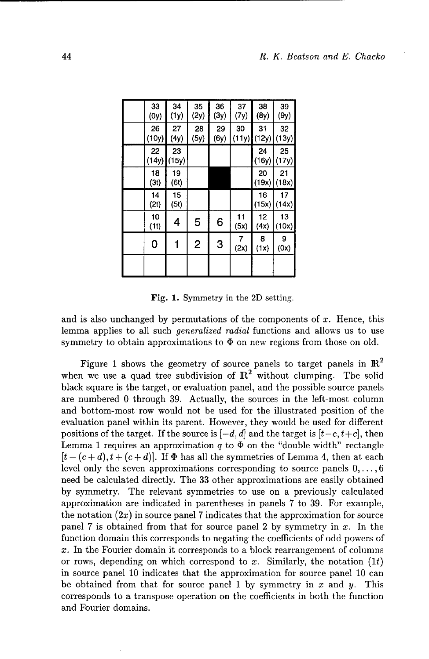| 33<br>(0y)  | 34<br>(1y)  | 35<br>(2y) | 36<br>(3y) | 37<br>(7y)  | 38<br>(8y)  | 39<br>(9y)  |
|-------------|-------------|------------|------------|-------------|-------------|-------------|
| 26<br>(10y) | 27<br>(4y)  | 28<br>(5y) | 29<br>(6y) | 30<br>(11y) | 31<br>(12y) | 32<br>(13y) |
| 22<br>(14y) | 23<br>(15y) |            |            |             | 24<br>(16y) | 25<br>(17y) |
| 18<br>(3t)  | 19<br>(6t)  |            |            |             | 20<br>(19x) | 21<br>(18x) |
| 14<br>(2t)  | 15<br>(5t)  |            |            |             | 16<br>(15x) | 17<br>(14x) |
| 10<br>(11)  | 4           | 5          | 6          | 11<br>(5x)  | 12<br>(4x)  | 13<br>(10x) |
| 0           |             | 2          | 3          | 7<br>(2x)   | 8<br>(1x)   | 9<br>(0x)   |
|             |             |            |            |             |             |             |

Fig. 1. Symmetry in the 2D setting.

and is also unchanged by permutations of the components of  $x$ . Hence, this lemma applies to all such generalized radial functions and allows us to use symmetry to obtain approximations to  $\Phi$  on new regions from those on old.

Figure 1 shows the geometry of source panels to target panels in  $\mathbb{R}^2$ when we use a quad tree subdivision of  $\mathbb{R}^2$  without clumping. The solid black square is the target, or evaluation panel, and the possible source panels are numbered 0 through 39. Actually, the sources in the left-most column and bottom-most row would not be used for the illustrated position of the evaluation panel within its parent. However, they would be used for different positions of the target. If the source is  $[-d, d]$  and the target is  $[t-c, t+c]$ , then Lemma 1 requires an approximation  $q$  to  $\Phi$  on the "double width" rectangle  $[t-(c+d), t+(c+d)]$ . If  $\Phi$  has all the symmetries of Lemma 4, then at each level only the seven approximations corresponding to source panels  $0, \ldots, 6$ need be calculated directly. The 33 other approximations are easily obtained by symmetry. The relevant symmetries to use on a previously calculated approximation are indicated in parentheses in panels 7 to 39. For example, the notation  $(2x)$  in source panel 7 indicates that the approximation for source panel 7 is obtained from that for source panel 2 by symmetry in  $x$ . In the function domain this corresponds to negating the coefficients of odd powers of x. In the Fourier domain it corresponds to a block rearrangement of columns or rows, depending on which correspond to x. Similarly, the notation  $(1t)$ in source panel 10 indicates that the approximation for source panel 10 can be obtained from that for source panel 1 by symmetry in  $x$  and  $y$ . This corresponds to a transpose operation on the coefficients in both the function and Fourier domains.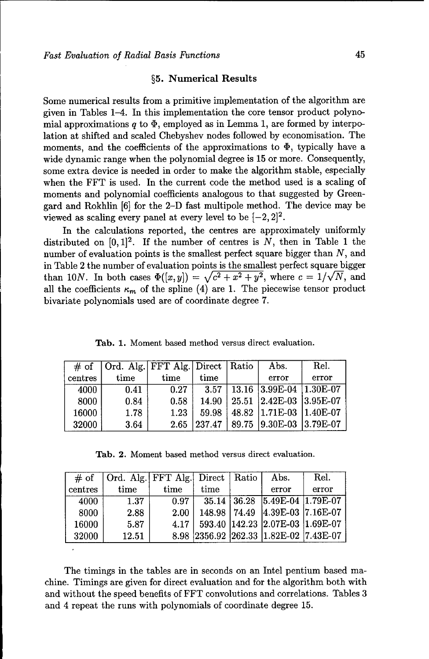#### §5. Numerical Results

Some numerical results from a primitive implementation of the algorithm are given in Tables 1-4. In this implementation the core tensor product polynomial approximations  $q$  to  $\Phi$ , employed as in Lemma 1, are formed by interpolation at shifted and scaled Chebyshev nodes followed by economisation. The moments, and the coefficients of the approximations to  $\Phi$ , typically have a wide dynamic range when the polynomial degree is 15 or more. Consequently, some extra device is needed in order to make the algorithm stable, especially when the FFT is used. In the current code the method used is a scaling of moments and polynomial coefficients analogous to that suggested by Greengard and Rokhlin [6] for the 2-D fast multipole method. The device may be viewed as scaling every panel at every level to be  $[-2, 2]^2$ .

In the calculations reported, the centres are approximately uniformly distributed on  $[0,1]^2$ . If the number of centres is N, then in Table 1 the number of evaluation points is the smallest perfect square bigger than N, and in Table 2 the number of evaluation points is the smallest perfect square bigger than 10N. In both cases  $\Phi([x, y]) = \sqrt{c^2 + x^2 + y^2}$ , where  $c = 1/\sqrt{N}$ , and all the coefficients  $\kappa_m$  of the spline (4) are 1. The piecewise tensor product bivariate polynomials used are of coordinate degree 7.

| # of    | Ord. Alg.   FFT Alg.   Direct   Ratio |      |        |       | Abs.                    | Rel.  |
|---------|---------------------------------------|------|--------|-------|-------------------------|-------|
| centres | time                                  | time | time   |       | error                   | error |
| 4000    | 0.41                                  | 0.27 | 3.57   |       | 13.16 3.99E-04 1.30E-07 |       |
| 8000    | 0.84                                  | 0.58 | 14.90  |       | 25.51 2.42E-03 3.95E-07 |       |
| 16000   | 1.78                                  | 1.23 | 59.98  |       | 48.82 1.71E-03 1.40E-07 |       |
| 32000   | 3.64                                  | 2.65 | 237.47 | 89.75 | $ 9.30E-03 $ 3.79E-07   |       |

Tab. **1.** Moment based method versus direct evaluation.

Tab. 2. Moment based method versus direct evaluation.

| # of            | Ord. Alg. FFT Alg. Direct Ratio |      |                |                   | Abs.                                  | Rel.  |
|-----------------|---------------------------------|------|----------------|-------------------|---------------------------------------|-------|
| $\vert$ centres | time                            | time | time           |                   | error                                 | error |
| 4000            | 1.37                            | 0.97 |                | $35.14 \pm 36.28$ | $ 5.49E-04 1.79E-07$                  |       |
| 8000            | 2.88                            | 2.00 | 148.98   74.49 |                   | 4.39E-03 7.16E-07                     |       |
| 16000           | 5.87                            | 4.17 |                |                   | 593.40   142.23   2.07E-03   1.69E-07 |       |
| 32000           | 12.51                           |      |                |                   | 8.98 2356.92 262.33 1.82E-02 7.43E-07 |       |

The timings in the tables are in seconds on an Intel pentium based machine. Timings are given for direct evaluation and for the algorithm both with and without the speed benefits of FFT convolutions and correlations. Tables 3 and 4 repeat the runs with polynomials of coordinate degree 15.